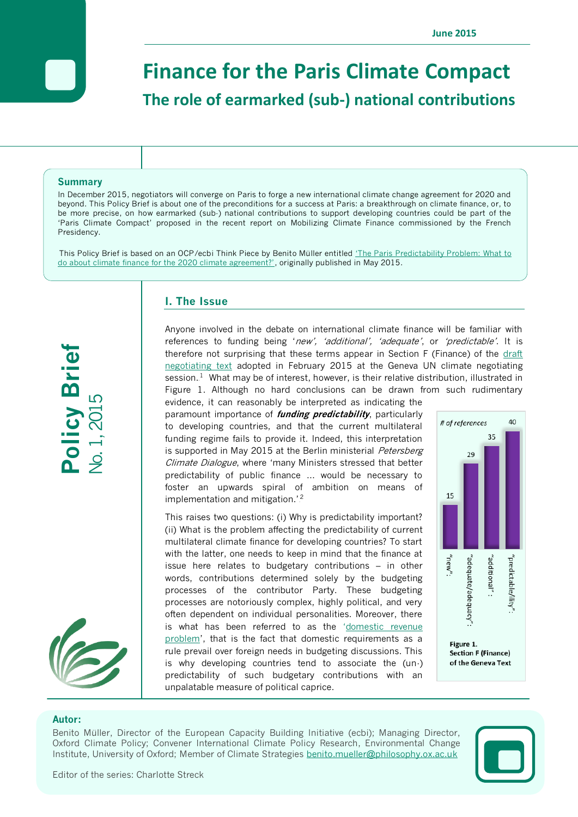# **Finance for the Paris Climate Compact The role of earmarked (sub-) national contributions**

### **Summary**

In December 2015, negotiators will converge on Paris to forge a new international climate change agreement for 2020 and beyond. This Policy Brief is about one of the preconditions for a success at Paris: a breakthrough on climate finance, or, to be more precise, on how earmarked (sub-) national contributions to support developing countries could be part of the 'Paris Climate Compact' proposed in the recent report on Mobilizing Climate Finance commissioned by the French Presidency.

This Policy Brief is based on an OCP/ecbi Think Piece by Benito Müller entitled ['The Paris Predictability Problem: What to](http://www.eurocapacity.org/downloads/The_Paris_Predictability_Problem_published.pdf)  [do about climate finance for the 2020 climate agreement?'](http://www.eurocapacity.org/downloads/The_Paris_Predictability_Problem_published.pdf), originally published in May 2015.

# icy Briet



## **I. The Issue**

Anyone involved in the debate on international climate finance will be familiar with references to funding being 'new', 'additional', 'adequate', or 'predictable'. It is therefore not surprising that these terms appear in Section F (Finance) of the [draft](http://unfccc.int/resource/docs/2015/adp2/eng/01.pdf)  [negotiating text](http://unfccc.int/resource/docs/2015/adp2/eng/01.pdf) adopted in February 2015 at the Geneva UN climate negotiating session.<sup>1</sup> What may be of interest, however, is their relative distribution, illustrated in Figure 1. Although no hard conclusions can be drawn from such rudimentary evidence, it can reasonably be interpreted as indicating the

paramount importance of **funding predictability**, particularly to developing countries, and that the current multilateral funding regime fails to provide it. Indeed, this interpretation is supported in May 2015 at the Berlin ministerial Petersberg Climate Dialogue, where 'many Ministers stressed that better predictability of public finance … would be necessary to foster an upwards spiral of ambition on means of implementation and mitigation.'.<sup>2</sup>

This raises two questions: (i) Why is predictability important? (ii) What is the problem affecting the predictability of current multilateral climate finance for developing countries? To start with the latter, one needs to keep in mind that the finance at issue here relates to budgetary contributions – in other words, contributions determined solely by the budgeting processes of the contributor Party. These budgeting processes are notoriously complex, highly political, and very often dependent on individual personalities. Moreover, there is what has been referred to as the '[domestic revenue](http://www.oxfordclimatepolicy.org/publications/documents/EV42.pdf)  [problem](http://www.oxfordclimatepolicy.org/publications/documents/EV42.pdf)', that is the fact that domestic requirements as a rule prevail over foreign needs in budgeting discussions. This is why developing countries tend to associate the (un-) predictability of such budgetary contributions with an unpalatable measure of political caprice.



### **Autor:**

Benito Müller, Director of the European Capacity Building Initiative (ecbi); Managing Director, Oxford Climate Policy; Convener International Climate Policy Research, Environmental Change Institute, University of Oxford; Member of Climate Strategies [benito.mueller@philosophy.ox.ac.uk](mailto:benito.mueller@philosophy.ox.ac.uk)

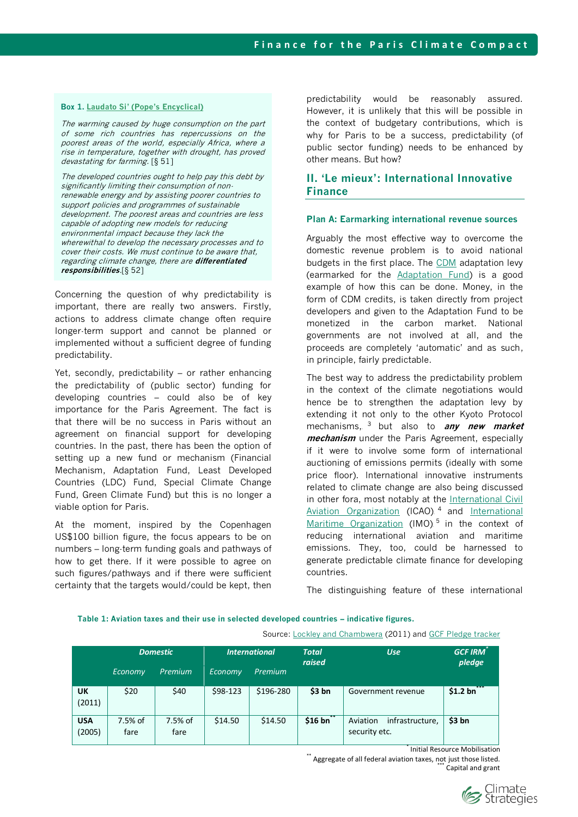### **Box 1. [Laudato Si'](http://w2.vatican.va/content/francesco/en/encyclicals/documents/papa-francesco_20150524_enciclica-laudato-si.html) (Pope's Encyclical)**

The warming caused by huge consumption on the part of some rich countries has repercussions on the poorest areas of the world, especially Africa, where a rise in temperature, together with drought, has proved devastating for farming. [§ 51]

The developed countries ought to help pay this debt by significantly limiting their consumption of nonrenewable energy and by assisting poorer countries to support policies and programmes of sustainable development. The poorest areas and countries are less capable of adopting new models for reducing environmental impact because they lack the wherewithal to develop the necessary processes and to cover their costs. We must continue to be aware that, regarding climate change, there are **differentiated responsibilities**.[§ 52]

Concerning the question of why predictability is important, there are really two answers. Firstly, actions to address climate change often require longer-term support and cannot be planned or implemented without a sufficient degree of funding predictability.

Yet, secondly, predictability – or rather enhancing the predictability of (public sector) funding for developing countries – could also be of key importance for the Paris Agreement. The fact is that there will be no success in Paris without an agreement on financial support for developing countries. In the past, there has been the option of setting up a new fund or mechanism (Financial Mechanism, Adaptation Fund, Least Developed Countries (LDC) Fund, Special Climate Change Fund, Green Climate Fund) but this is no longer a viable option for Paris.

At the moment, inspired by the Copenhagen US\$100 billion figure, the focus appears to be on numbers – long-term funding goals and pathways of how to get there. If it were possible to agree on such figures/pathways and if there were sufficient certainty that the targets would/could be kept, then predictability would be reasonably assured. However, it is unlikely that this will be possible in the context of budgetary contributions, which is why for Paris to be a success, predictability (of public sector funding) needs to be enhanced by other means. But how?

### **II. 'Le mieux': International Innovative Finance**

### **Plan A: Earmarking international revenue sources**

Arguably the most effective way to overcome the domestic revenue problem is to avoid national budgets in the first place. The [CDM](http://cdm.unfccc.int/) adaptation levy (earmarked for the [Adaptation Fund\)](https://www.adaptation-fund.org/about) is a good example of how this can be done. Money, in the form of CDM credits, is taken directly from project developers and given to the Adaptation Fund to be monetized in the carbon market. National governments are not involved at all, and the proceeds are completely 'automatic' and as such, in principle, fairly predictable.

The best way to address the predictability problem in the context of the climate negotiations would hence be to strengthen the adaptation levy by extending it not only to the other Kyoto Protocol mechanisms,2F <sup>3</sup> but also to **any new market mechanism** under the Paris Agreement, especially if it were to involve some form of international auctioning of emissions permits (ideally with some price floor). International innovative instruments related to climate change are also being discussed in other fora, most notably at the International Civil [Aviation Organization](http://www.icao.int/) (ICAO).<sup>4</sup> and International [Maritime Organization](http://www.imo.org/) (IMO).<sup>5</sup> in the context of reducing international aviation and maritime emissions. They, too, could be harnessed to generate predictable climate finance for developing countries.

The distinguishing feature of these international

| Table 1: Aviation taxes and their use in selected developed countries – indicative figures. |  |
|---------------------------------------------------------------------------------------------|--|
|---------------------------------------------------------------------------------------------|--|

Source[: Lockley and Chambwera](http://www.oxfordclimatepolicy.org/publications/documents/Comment-March-2011_2.pdf) (2011) and [GCF Pledge tracker](http://news.gcfund.org/wp-content/uploads/2015/04/GCF_contributions_2015_apr_30.pdf)

|                      | <b>Domestic</b> |                 | <i><u><b>International</b></u></i> |           | <b>Total</b><br>raised | <b>Use</b>                                   | <b>GCF IRM</b><br>pledge |
|----------------------|-----------------|-----------------|------------------------------------|-----------|------------------------|----------------------------------------------|--------------------------|
|                      | Economy         | Premium         | Economy                            | Premium   |                        |                                              |                          |
| UK<br>(2011)         | \$20            | \$40            | \$98-123                           | \$196-280 | \$3 bh                 | Government revenue                           | \$1.2 <sub>bn</sub>      |
| <b>USA</b><br>(2005) | 7.5% of<br>fare | 7.5% of<br>fare | \$14.50                            | \$14.50   | \$16 bh                | infrastructure,<br>Aviation<br>security etc. | \$3 bh                   |

\* Initial Resource Mobilisation

\*\* Aggregate of all federal aviation taxes, not just those listed. \*\*\* Capital and grant

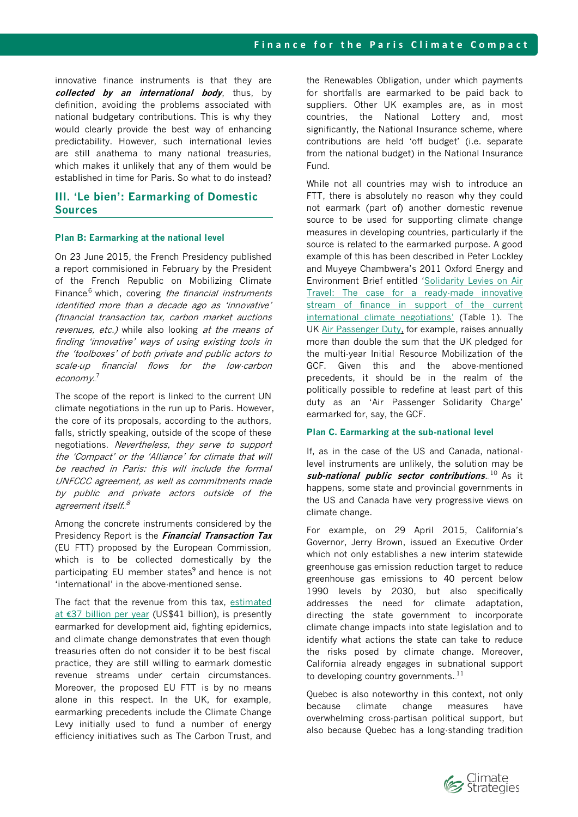innovative finance instruments is that they are **collected by an international body**, thus, by definition, avoiding the problems associated with national budgetary contributions. This is why they would clearly provide the best way of enhancing predictability. However, such international levies are still anathema to many national treasuries, which makes it unlikely that any of them would be established in time for Paris. So what to do instead?

### **III. 'Le bien': Earmarking of Domestic Sources**

### **Plan B: Earmarking at the national level**

On 23 June 2015, the French Presidency published a report commisioned in February by the President of the French Republic on Mobilizing Climate Finance.<sup>6</sup> which, covering the financial instruments identified more than a decade ago as 'innovative' (financial transaction tax, carbon market auctions revenues, etc.) while also looking at the means of finding 'innovative' ways of using existing tools in the 'toolboxes' of both private and public actors to scale-up financial flows for the low-carbon economy.<sup>7</sup>

The scope of the report is linked to the current UN climate negotiations in the run up to Paris. However, the core of its proposals, according to the authors, falls, strictly speaking, outside of the scope of these negotiations. Nevertheless, they serve to support the 'Compact' or the 'Alliance' for climate that will be reached in Paris: this will include the formal UNFCCC agreement, as well as commitments made by public and private actors outside of the agreement itself.<sup>8</sup>

Among the concrete instruments considered by the Presidency Report is the **Financial Transaction Tax** (EU FTT) proposed by the European Commission, which is to be collected domestically by the participating EU member states<sup>9</sup> and hence is not 'international' in the above-mentioned sense.

The fact that the revenue from this tax, [estimated](http://www.diw.de/documents/publikationen/73/diw_01.c.405812.de/diwkompakt_2012-064.pdf)  at €[37 billion per year](http://www.diw.de/documents/publikationen/73/diw_01.c.405812.de/diwkompakt_2012-064.pdf) (US\$41 billion), is presently earmarked for development aid, fighting epidemics, and climate change demonstrates that even though treasuries often do not consider it to be best fiscal practice, they are still willing to earmark domestic revenue streams under certain circumstances. Moreover, the proposed EU FTT is by no means alone in this respect. In the UK, for example, earmarking precedents include the Climate Change Levy initially used to fund a number of energy efficiency initiatives such as The Carbon Trust, and the Renewables Obligation, under which payments for shortfalls are earmarked to be paid back to suppliers. Other UK examples are, as in most countries, the National Lottery and, most significantly, the National Insurance scheme, where contributions are held 'off budget' (i.e. separate from the national budget) in the National Insurance Fund.

While not all countries may wish to introduce an FTT, there is absolutely no reason why they could not earmark (part of) another domestic revenue source to be used for supporting climate change measures in developing countries, particularly if the source is related to the earmarked purpose. A good example of this has been described in Peter Lockley and Muyeye Chambwera's 2011 Oxford Energy and Environment Brief entitled '[Solidarity Levies on Air](http://www.oxfordclimatepolicy.org/publications/documents/Comment-March-2011_2.pdf)  Travel: The case for a ready-made innovative stream of finance in support of the current [international climate negotiations](http://www.oxfordclimatepolicy.org/publications/documents/Comment-March-2011_2.pdf)' (Table 1). The UK [Air Passenger Duty,](http://en.wikipedia.org/wiki/Air_Passenger_Duty) for example, raises annually more than double the sum that the UK pledged for the multi-year Initial Resource Mobilization of the GCF. Given this and the above-mentioned precedents, it should be in the realm of the politically possible to redefine at least part of this duty as an 'Air Passenger Solidarity Charge' earmarked for, say, the GCF.

### **Plan C. Earmarking at the sub-national level**

If, as in the case of the US and Canada, nationallevel instruments are unlikely, the solution may be sub-national public sector contributions. 10 As it happens, some state and provincial governments in the US and Canada have very progressive views on climate change.

For example, on 29 April 2015, California's Governor, Jerry Brown, issued an Executive Order which not only establishes a new interim statewide greenhouse gas emission reduction target to reduce greenhouse gas emissions to 40 percent below 1990 levels by 2030, but also specifically addresses the need for climate adaptation, directing the state government to incorporate climate change impacts into state legislation and to identify what actions the state can take to reduce the risks posed by climate change. Moreover, California already engages in subnational support to developing country governments. $^{11}$ 

Quebec is also noteworthy in this context, not only because climate change measures have overwhelming cross-partisan political support, but also because Quebec has a long-standing tradition

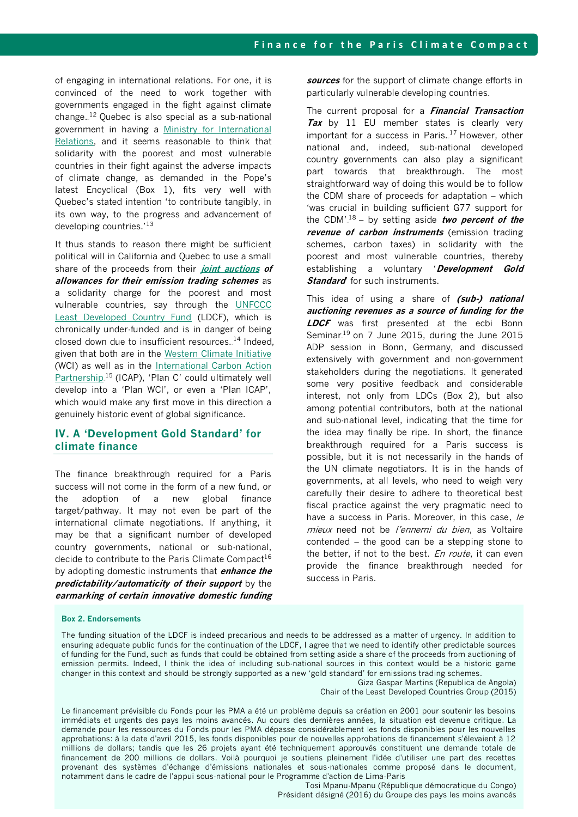of engaging in international relations. For one, it is convinced of the need to work together with governments engaged in the fight against climate change.<sup>12</sup> Quebec is also special as a sub-national government in having a [Ministry for International](http://www.mrif.gouv.qc.ca/en/solidarite-internationale/quebec-et-la-solidarite/portrait)  [Relations,](http://www.mrif.gouv.qc.ca/en/solidarite-internationale/quebec-et-la-solidarite/portrait) and it seems reasonable to think that solidarity with the poorest and most vulnerable countries in their fight against the adverse impacts of climate change, as demanded in the Pope's latest Encyclical (Box 1), fits very well with Quebec's stated intention 'to contribute tangibly, in its own way, to the progress and advancement of developing countries.'<sup>13</sup>

It thus stands to reason there might be sufficient political will in California and Quebec to use a small share of the proceeds from their **[joint auctions](http://www.arb.ca.gov/cc/capandtrade/auction/auction_archive.htm) of allowances for their emission trading schemes** as a solidarity charge for the poorest and most vulnerable countries, say through the [UNFCCC](http://unfccc.int/cooperation_and_support/financial_mechanism/least_developed_country_fund/items/4723.php)  [Least Developed Country Fund](http://unfccc.int/cooperation_and_support/financial_mechanism/least_developed_country_fund/items/4723.php) (LDCF), which is chronically under-funded and is in danger of being closed down due to insufficient resources.<sup>14</sup> Indeed, given that both are in the [Western Climate Initiative](http://www.wci-inc.org/docs/By-Laws_of_the_WCI-Inc_Final_rev05082013_Signed.pdf) (WCI) as well as in the [International Carbon Action](https://icapcarbonaction.com/)  [Partnership](https://icapcarbonaction.com/).<sup>15</sup> (ICAP), 'Plan C' could ultimately well develop into a 'Plan WCI', or even a 'Plan ICAP', which would make any first move in this direction a genuinely historic event of global significance.

### **IV. A 'Development Gold Standard' for climate finance**

The finance breakthrough required for a Paris success will not come in the form of a new fund, or the adoption of a new global finance target/pathway. It may not even be part of the international climate negotiations. If anything, it may be that a significant number of developed country governments, national or sub-national, decide to contribute to the Paris Climate Compact<sup>16</sup> by adopting domestic instruments that **enhance the predictability/automaticity of their support** by the **earmarking of certain innovative domestic funding**  **sources** for the support of climate change efforts in particularly vulnerable developing countries.

The current proposal for a **Financial Transaction Tax** by 11 EU member states is clearly very important for a success in Paris.<sup>17</sup> However, other national and, indeed, sub-national developed country governments can also play a significant part towards that breakthrough. The most straightforward way of doing this would be to follow the CDM share of proceeds for adaptation – which 'was crucial in building sufficient G77 support for the CDM'.<sup>18</sup> - by setting aside *two percent of the* **revenue of carbon instruments** (emission trading schemes, carbon taxes) in solidarity with the poorest and most vulnerable countries, thereby establishing a voluntary '**Development Gold Standard** for such instruments.

This idea of using a share of **(sub-) national auctioning revenues as a source of funding for the LDCF** was first presented at the ecbi Bonn Seminar.<sup>19</sup> on 7 June 2015, during the June 2015 ADP session in Bonn, Germany, and discussed extensively with government and non-government stakeholders during the negotiations. It generated some very positive feedback and considerable interest, not only from LDCs (Box 2), but also among potential contributors, both at the national and sub-national level, indicating that the time for the idea may finally be ripe. In short, the finance breakthrough required for a Paris success is possible, but it is not necessarily in the hands of the UN climate negotiators. It is in the hands of governments, at all levels, who need to weigh very carefully their desire to adhere to theoretical best fiscal practice against the very pragmatic need to have a success in Paris. Moreover, in this case, le mieux need not be *l'ennemi du bien*, as Voltaire contended – the good can be a stepping stone to the better, if not to the best. En route, it can even provide the finance breakthrough needed for success in Paris.

### **Box 2. Endorsements**

The funding situation of the LDCF is indeed precarious and needs to be addressed as a matter of urgency. In addition to ensuring adequate public funds for the continuation of the LDCF, I agree that we need to identify other predictable sources of funding for the Fund, such as funds that could be obtained from setting aside a share of the proceeds from auctioning of emission permits. Indeed, I think the idea of including sub-national sources in this context would be a historic game changer in this context and should be strongly supported as a new 'gold standard' for emissions trading schemes.

Giza Gaspar Martins (Republica de Angola)

Chair of the Least Developed Countries Group (2015)

Le financement prévisible du Fonds pour les PMA a été un problème depuis sa création en 2001 pour soutenir les besoins immédiats et urgents des pays les moins avancés. Au cours des dernières années, la situation est devenue critique. La demande pour les ressources du Fonds pour les PMA dépasse considérablement les fonds disponibles pour les nouvelles approbations: à la date d'avril 2015, les fonds disponibles pour de nouvelles approbations de financement s'élevaient à 12 millions de dollars; tandis que les 26 projets ayant été techniquement approuvés constituent une demande totale de financement de 200 millions de dollars. Voilà pourquoi je soutiens pleinement l'idée d'utiliser une part des recettes provenant des systèmes d'échange d'émissions nationales et sous-nationales comme proposé dans le document, notamment dans le cadre de l'appui sous-national pour le Programme d'action de Lima-Paris

Tosi Mpanu-Mpanu (République démocratique du Congo) Président désigné (2016) du Groupe des pays les moins avancés